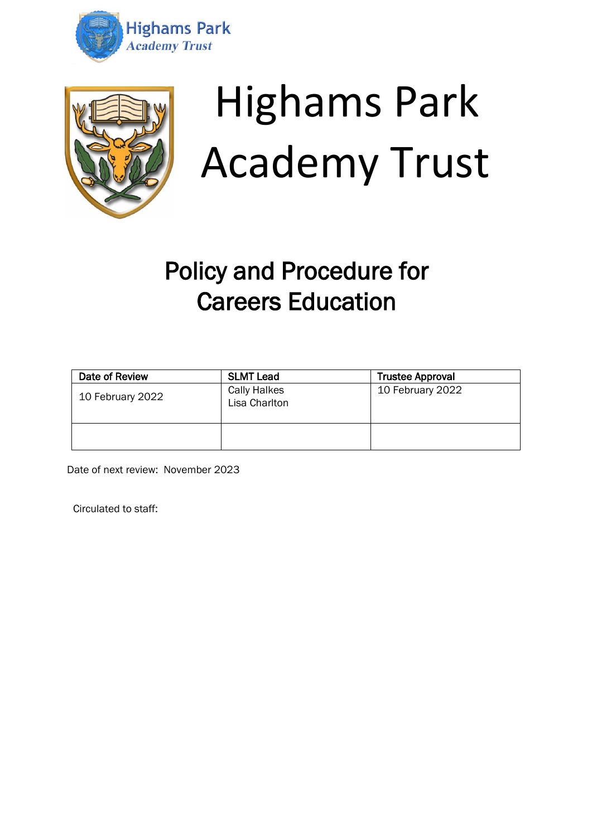



# Highams Park Academy Trust

# Policy and Procedure for Careers Education

| Date of Review   | <b>SLMT Lead</b>                     | <b>Trustee Approval</b> |
|------------------|--------------------------------------|-------------------------|
| 10 February 2022 | <b>Cally Halkes</b><br>Lisa Charlton | 10 February 2022        |
|                  |                                      |                         |

Date of next review: November 2023

Circulated to staff: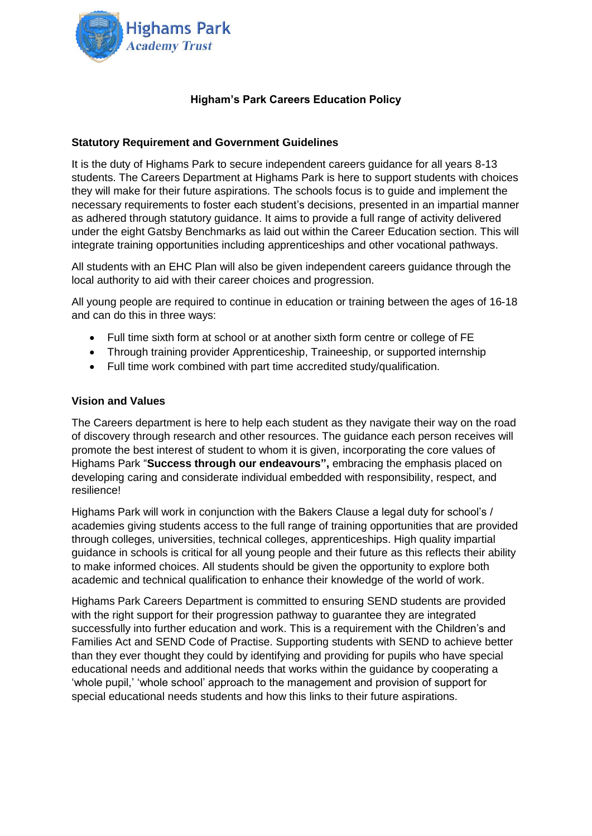

## **Higham's Park Careers Education Policy**

### **Statutory Requirement and Government Guidelines**

It is the duty of Highams Park to secure independent careers guidance for all years 8-13 students. The Careers Department at Highams Park is here to support students with choices they will make for their future aspirations. The schools focus is to guide and implement the necessary requirements to foster each student's decisions, presented in an impartial manner as adhered through statutory guidance. It aims to provide a full range of activity delivered under the eight Gatsby Benchmarks as laid out within the Career Education section. This will integrate training opportunities including apprenticeships and other vocational pathways.

All students with an EHC Plan will also be given independent careers guidance through the local authority to aid with their career choices and progression.

All young people are required to continue in education or training between the ages of 16-18 and can do this in three ways:

- Full time sixth form at school or at another sixth form centre or college of FE
- Through training provider Apprenticeship, Traineeship, or supported internship
- Full time work combined with part time accredited study/qualification.

#### **Vision and Values**

The Careers department is here to help each student as they navigate their way on the road of discovery through research and other resources. The guidance each person receives will promote the best interest of student to whom it is given, incorporating the core values of Highams Park "**Success through our endeavours",** embracing the emphasis placed on developing caring and considerate individual embedded with responsibility, respect, and resilience!

Highams Park will work in conjunction with the Bakers Clause a legal duty for school's / academies giving students access to the full range of training opportunities that are provided through colleges, universities, technical colleges, apprenticeships. High quality impartial guidance in schools is critical for all young people and their future as this reflects their ability to make informed choices. All students should be given the opportunity to explore both academic and technical qualification to enhance their knowledge of the world of work.

Highams Park Careers Department is committed to ensuring SEND students are provided with the right support for their progression pathway to guarantee they are integrated successfully into further education and work. This is a requirement with the Children's and Families Act and SEND Code of Practise. Supporting students with SEND to achieve better than they ever thought they could by identifying and providing for pupils who have special educational needs and additional needs that works within the guidance by cooperating a 'whole pupil,' 'whole school' approach to the management and provision of support for special educational needs students and how this links to their future aspirations.